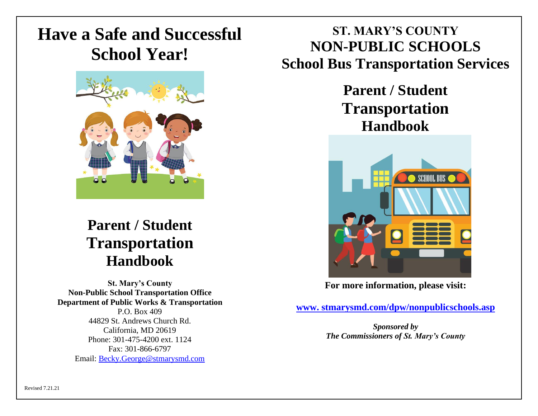# **Have a Safe and Successful School Year!**



## **Parent / Student Transportation Handbook**

**St. Mary's County Non-Public School Transportation Office Department of Public Works & Transportation**  P.O. Box 409 44829 St. Andrews Church Rd. California, MD 20619 Phone: 301-475-4200 ext. 1124 Fax: 301-866-6797 Email: [Becky.George@stmarysmd.com](file://///gc/trans/Becky/BGeorge/Handbook/Documents/GroupWise/Becky.George@stmarysmd.com)

## **ST. MARY'S COUNTY NON-PUBLIC SCHOOLS School Bus Transportation Services**

## **Parent / Student Transportation Handbook**



**For more information, please visit:**

**www. [stmarysmd.com/dpw/nonpublicschools.asp](http://www.stmarysmd.com/dpw/nonpublicschools.asp)**

*Sponsored by The Commissioners of St. Mary's County*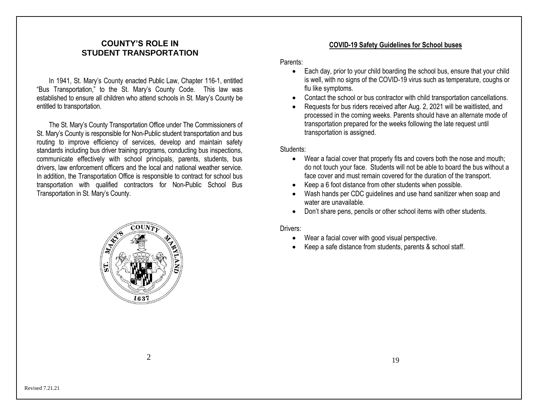#### **COUNTY'S ROLE IN STUDENT TRANSPORTATION**

In 1941, St. Mary's County enacted Public Law, Chapter 116-1, entitled "Bus Transportation," to the St. Mary's County Code. This law was established to ensure all children who attend schools in St. Mary's County be entitled to transportation.

The St. Mary's County Transportation Office under The Commissioners of St. Mary's County is responsible for Non-Public student transportation and bus routing to improve efficiency of services, develop and maintain safety standards including bus driver training programs, conducting bus inspections, communicate effectively with school principals, parents, students, bus drivers, law enforcement officers and the local and national weather service. In addition, the Transportation Office is responsible to contract for school bus transportation with qualified contractors for Non-Public School Bus Transportation in St. Mary's County.



#### **COVID-19 Safety Guidelines for School buses**

Parents:

- Each day, prior to your child boarding the school bus, ensure that your child is well, with no signs of the COVID-19 virus such as temperature, coughs or flu like symptoms.
- Contact the school or bus contractor with child transportation cancellations.
- Requests for bus riders received after Aug. 2, 2021 will be waitlisted, and processed in the coming weeks. Parents should have an alternate mode of transportation prepared for the weeks following the late request until transportation is assigned.

Students:

- Wear a facial cover that properly fits and covers both the nose and mouth; do not touch your face. Students will not be able to board the bus without a face cover and must remain covered for the duration of the transport.
- Keep a 6 foot distance from other students when possible.
- Wash hands per CDC guidelines and use hand sanitizer when soap and water are unavailable.
- Don't share pens, pencils or other school items with other students.

#### Drivers:

- Wear a facial cover with good visual perspective.
- Keep a safe distance from students, parents & school staff.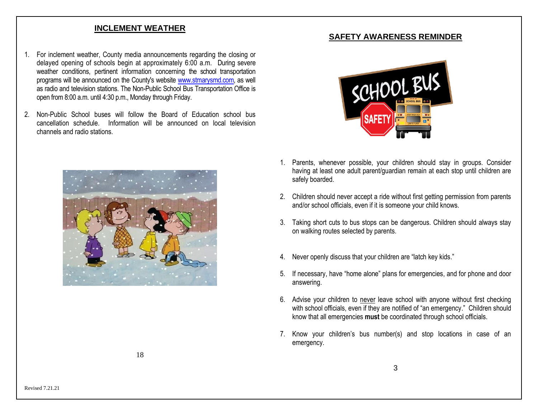#### **INCLEMENT WEATHER**

- 1. For inclement weather, County media announcements regarding the closing or delayed opening of schools begin at approximately 6:00 a.m. During severe weather conditions, pertinent information concerning the school transportation programs will be announced on the County's website [www.stmarysmd.com,](http://www.stmarysmd.com/) as well as radio and television stations. The Non-Public School Bus Transportation Office is open from 8:00 a.m. until 4:30 p.m., Monday through Friday.
- 2. Non-Public School buses will follow the Board of Education school bus cancellation schedule. Information will be announced on local television channels and radio stations.



#### **SAFETY AWARENESS REMINDER**



- 1. Parents, whenever possible, your children should stay in groups. Consider having at least one adult parent/guardian remain at each stop until children are safely boarded.
- 2. Children should never accept a ride without first getting permission from parents and/or school officials, even if it is someone your child knows.
- 3. Taking short cuts to bus stops can be dangerous. Children should always stay on walking routes selected by parents.
- 4. Never openly discuss that your children are "latch key kids."
- 5. If necessary, have "home alone" plans for emergencies, and for phone and door answering.
- 6. Advise your children to never leave school with anyone without first checking with school officials, even if they are notified of "an emergency." Children should know that all emergencies **must** be coordinated through school officials.
- 7. Know your children's bus number(s) and stop locations in case of an emergency.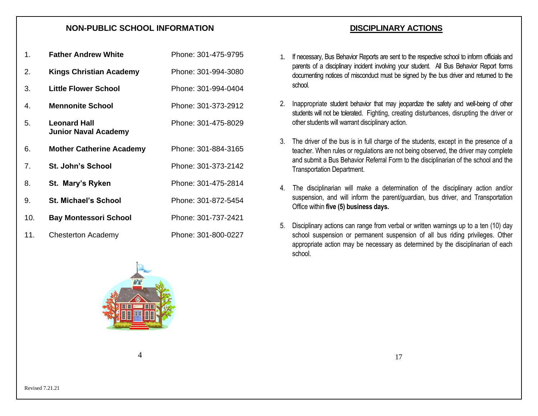#### **NON-PUBLIC SCHOOL INFORMATION**

| 1.  | <b>Father Andrew White</b>                         | Phone: 301-475-9795 |
|-----|----------------------------------------------------|---------------------|
| 2.  | <b>Kings Christian Academy</b>                     | Phone: 301-994-3080 |
| 3.  | <b>Little Flower School</b>                        | Phone: 301-994-0404 |
| 4.  | <b>Mennonite School</b>                            | Phone: 301-373-2912 |
| 5.  | <b>Leonard Hall</b><br><b>Junior Naval Academy</b> | Phone: 301-475-8029 |
| 6.  | <b>Mother Catherine Academy</b>                    | Phone: 301-884-3165 |
| 7.  | <b>St. John's School</b>                           | Phone: 301-373-2142 |
| 8.  | St. Mary's Ryken                                   | Phone: 301-475-2814 |
| 9.  | <b>St. Michael's School</b>                        | Phone: 301-872-5454 |
| 10. | <b>Bay Montessori School</b>                       | Phone: 301-737-2421 |
| 11. | <b>Chesterton Academy</b>                          | Phone: 301-800-0227 |

1. If necessary, Bus Behavior Reports are sent to the respective school to inform officials and parents of a disciplinary incident involving your student. All Bus Behavior Report forms documenting notices of misconduct must be signed by the bus driver and returned to the school.

**DISCIPLINARY ACTIONS**

- 2. Inappropriate student behavior that may jeopardize the safety and well-being of other students will not be tolerated. Fighting, creating disturbances, disrupting the driver or other students will warrant disciplinary action.
- 3. The driver of the bus is in full charge of the students, except in the presence of a teacher. When rules or regulations are not being observed, the driver may complete and submit a Bus Behavior Referral Form to the disciplinarian of the school and the Transportation Department.
- 4. The disciplinarian will make a determination of the disciplinary action and/or suspension, and will inform the parent/guardian, bus driver, and Transportation Office within **five (5) business days.**
- 5. Disciplinary actions can range from verbal or written warnings up to a ten (10) day school suspension or permanent suspension of all bus riding privileges. Other appropriate action may be necessary as determined by the disciplinarian of each school.



 $\Delta$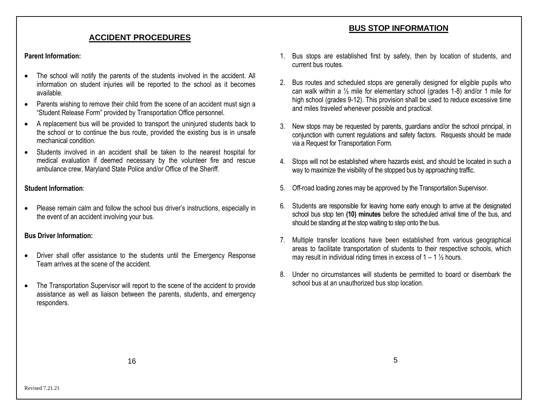#### **ACCIDENT PROCEDURES**

#### **Parent Information:**

- The school will notify the parents of the students involved in the accident. All information on student injuries will be reported to the school as it becomes available.
- Parents wishing to remove their child from the scene of an accident must sign a "Student Release Form" provided by Transportation Office personnel.
- A replacement bus will be provided to transport the uninjured students back to the school or to continue the bus route, provided the existing bus is in unsafe mechanical condition.
- Students involved in an accident shall be taken to the nearest hospital for medical evaluation if deemed necessary by the volunteer fire and rescue ambulance crew, Maryland State Police and/or Office of the Sheriff.

#### **Student Information**:

• Please remain calm and follow the school bus driver's instructions, especially in the event of an accident involving your bus.

#### **Bus Driver Information:**

- Driver shall offer assistance to the students until the Emergency Response Team arrives at the scene of the accident.
- The Transportation Supervisor will report to the scene of the accident to provide assistance as well as liaison between the parents, students, and emergency responders.
- 1. Bus stops are established first by safety, then by location of students, and current bus routes.
- 2. Bus routes and scheduled stops are generally designed for eligible pupils who can walk within a ½ mile for elementary school (grades 1-8) and/or 1 mile for high school (grades 9-12). This provision shall be used to reduce excessive time and miles traveled whenever possible and practical.
- 3. New stops may be requested by parents, guardians and/or the school principal, in conjunction with current regulations and safety factors. Requests should be made via a Request for Transportation Form.
- 4. Stops will not be established where hazards exist, and should be located in such a way to maximize the visibility of the stopped bus by approaching traffic.
- 5. Off-road loading zones may be approved by the Transportation Supervisor.
- 6. Students are responsible for leaving home early enough to arrive at the designated school bus stop ten **(10) minutes** before the scheduled arrival time of the bus, and should be standing at the stop waiting to step onto the bus.
- 7. Multiple transfer locations have been established from various geographical areas to facilitate transportation of students to their respective schools, which may result in individual riding times in excess of  $1 - 1 \frac{1}{2}$  hours.
- 8. Under no circumstances will students be permitted to board or disembark the school bus at an unauthorized bus stop location.

## **BUS STOP INFORMATION**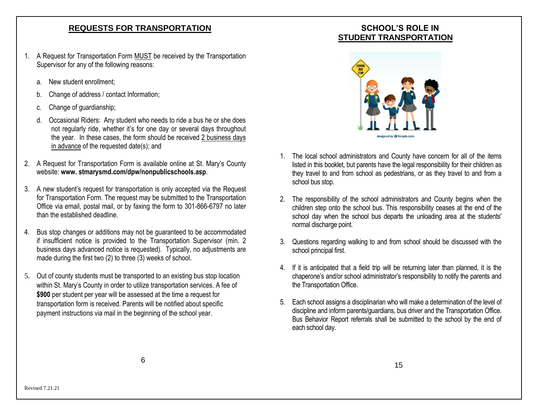#### **REQUESTS FOR TRANSPORTATION**

- 1. A Request for Transportation Form MUST be received by the Transportation Supervisor for any of the following reasons:
	- a. New student enrollment;
	- b. Change of address / contact Information;
	- Change of guardianship;
	- d. Occasional Riders: Any student who needs to ride a bus he or she does not regularly ride, whether it's for one day or several days throughout the year. In these cases, the form should be received 2 business days in advance of the requested date(s); and
- 2. A Request for Transportation Form is available online at St. Mary's County website: **www. stmarysmd.com/dpw/nonpublicschools.asp**.
- 3. A new student's request for transportation is only accepted via the Request for Transportation Form. The request may be submitted to the Transportation Office via email, postal mail, or by faxing the form to 301-866-6797 no later than the established deadline.
- 4. Bus stop changes or additions may not be guaranteed to be accommodated if insufficient notice is provided to the Transportation Supervisor (min. 2 business days advanced notice is requested). Typically, no adjustments are made during the first two (2) to three (3) weeks of school.
- 5. Out of county students must be transported to an existing bus stop location within St. Mary's County in order to utilize transportation services. A fee of **\$900** per student per year will be assessed at the time a request for transportation form is received. Parents will be notified about specific payment instructions via mail in the beginning of the school year.

## **SCHOOL'S ROLE IN STUDENT TRANSPORTATION**



- 1. The local school administrators and County have concern for all of the items listed in this booklet, but parents have the legal responsibility for their children as they travel to and from school as pedestrians, or as they travel to and from a school bus stop.
- 2. The responsibility of the school administrators and County begins when the children step onto the school bus. This responsibility ceases at the end of the school day when the school bus departs the unloading area at the students' normal discharge point.
- 3. Questions regarding walking to and from school should be discussed with the school principal first.
- 4. If it is anticipated that a field trip will be returning later than planned, it is the chaperone's and/or school administrator's responsibility to notify the parents and the Transportation Office.
- 5. Each school assigns a disciplinarian who will make a determination of the level of discipline and inform parents/guardians, bus driver and the Transportation Office. Bus Behavior Report referrals shall be submitted to the school by the end of each school day.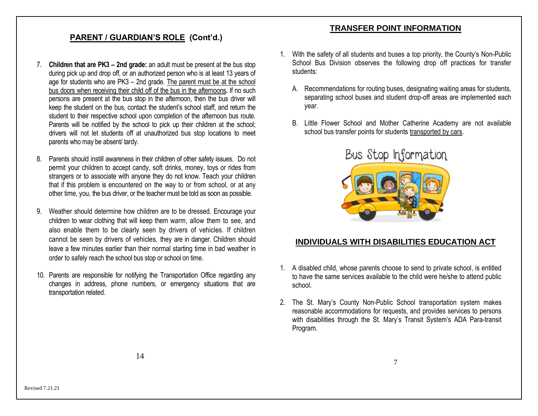### **PARENT / GUARDIAN'S ROLE (Cont'd.)**

- 7. **Children that are PK3 – 2nd grade:** an adult must be present at the bus stop during pick up and drop off, or an authorized person who is at least 13 years of age for students who are PK3 – 2nd grade. The parent must be at the school bus doors when receiving their child off of the bus in the afternoons**.** If no such persons are present at the bus stop in the afternoon, then the bus driver will keep the student on the bus, contact the student's school staff, and return the student to their respective school upon completion of the afternoon bus route. Parents will be notified by the school to pick up their children at the school; drivers will not let students off at unauthorized bus stop locations to meet parents who may be absent/ tardy.
- 8. Parents should instill awareness in their children of other safety issues. Do not permit your children to accept candy, soft drinks, money, toys or rides from strangers or to associate with anyone they do not know. Teach your children that if this problem is encountered on the way to or from school, or at any other time, you, the bus driver, or the teacher must be told as soon as possible.
- 9. Weather should determine how children are to be dressed. Encourage your children to wear clothing that will keep them warm, allow them to see, and also enable them to be clearly seen by drivers of vehicles. If children cannot be seen by drivers of vehicles, they are in danger. Children should leave a few minutes earlier than their normal starting time in bad weather in order to safely reach the school bus stop or school on time.
- 10. Parents are responsible for notifying the Transportation Office regarding any changes in address, phone numbers, or emergency situations that are transportation related.

#### **TRANSFER POINT INFORMATION**

- 1. With the safety of all students and buses a top priority, the County's Non-Public School Bus Division observes the following drop off practices for transfer students:
	- A. Recommendations for routing buses, designating waiting areas for students, separating school buses and student drop-off areas are implemented each year.
	- B. Little Flower School and Mother Catherine Academy are not available school bus transfer points for students transported by cars.



#### **INDIVIDUALS WITH DISABILITIES EDUCATION ACT**

- 1. A disabled child, whose parents choose to send to private school, is entitled to have the same services available to the child were he/she to attend public school.
- 2. The St. Mary's County Non-Public School transportation system makes reasonable accommodations for requests, and provides services to persons with disabilities through the St. Mary's Transit System's ADA Para-transit Program.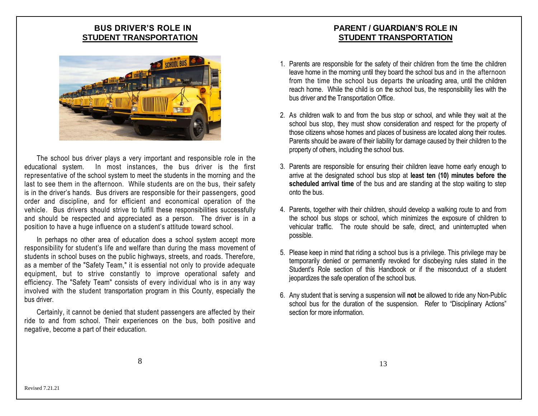### **BUS DRIVER'S ROLE IN STUDENT TRANSPORTATION**



The school bus driver plays a very important and responsible role in the educational system. In most instances, the bus driver is the first representative of the school system to meet the students in the morning and the last to see them in the afternoon. While students are on the bus, their safety is in the driver's hands. Bus drivers are responsible for their passengers, good order and discipline, and for efficient and economical operation of the vehicle. Bus drivers should strive to fulfill these responsibilities successfully and should be respected and appreciated as a person. The driver is in a position to have a huge influence on a student's attitude toward school.

In perhaps no other area of education does a school system accept more responsibility for student's life and welfare than during the mass movement of students in school buses on the public highways, streets, and roads. Therefore, as a member of the "Safety Team," it is essential not only to provide adequate equipment, but to strive constantly to improve operational safety and efficiency. The "Safety Team" consists of every individual who is in any way involved with the student transportation program in this County, especially the bus driver.

Certainly, it cannot be denied that student passengers are affected by their ride to and from school. Their experiences on the bus, both positive and negative, become a part of their education.

## **PARENT / GUARDIAN'S ROLE IN STUDENT TRANSPORTATION**

- 1. Parents are responsible for the safety of their children from the time the children leave home in the morning until they board the school bus and in the afternoon from the time the school bus departs the unloading area, until the children reach home. While the child is on the school bus, the responsibility lies with the bus driver and the Transportation Office.
- 2. As children walk to and from the bus stop or school, and while they wait at the school bus stop, they must show consideration and respect for the property of those citizens whose homes and places of business are located along their routes. Parents should be aware of their liability for damage caused by their children to the property of others, including the school bus.
- 3. Parents are responsible for ensuring their children leave home early enough to arrive at the designated school bus stop at **least ten (10) minutes before the scheduled arrival time** of the bus and are standing at the stop waiting to step onto the bus.
- 4. Parents, together with their children, should develop a walking route to and from the school bus stops or school, which minimizes the exposure of children to vehicular traffic. The route should be safe, direct, and uninterrupted when possible.
- 5. Please keep in mind that riding a school bus is a privilege. This privilege may be temporarily denied or permanently revoked for disobeying rules stated in the Student's Role section of this Handbook or if the misconduct of a student jeopardizes the safe operation of the school bus.
- 6. Any student that is serving a suspension will **not** be allowed to ride any Non-Public school bus for the duration of the suspension. Refer to "Disciplinary Actions" section for more information.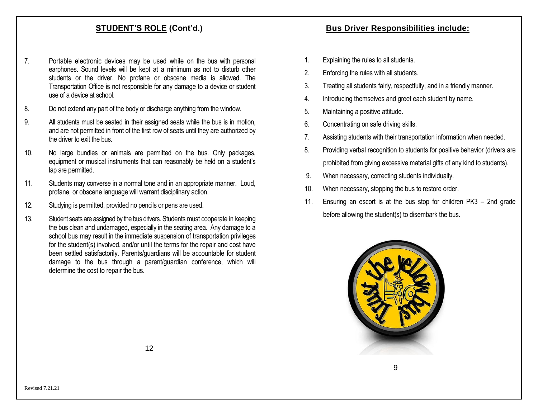### **STUDENT'S ROLE (Cont'd.)**

- 7. Portable electronic devices may be used while on the bus with personal earphones. Sound levels will be kept at a minimum as not to disturb other students or the driver. No profane or obscene media is allowed. The Transportation Office is not responsible for any damage to a device or student use of a device at school.
- 8. Do not extend any part of the body or discharge anything from the window.
- 9. All students must be seated in their assigned seats while the bus is in motion, and are not permitted in front of the first row of seats until they are authorized by the driver to exit the bus.
- 10. No large bundles or animals are permitted on the bus. Only packages, equipment or musical instruments that can reasonably be held on a student's lap are permitted.
- 11. Students may converse in a normal tone and in an appropriate manner. Loud, profane, or obscene language will warrant disciplinary action.
- 12. Studying is permitted, provided no pencils or pens are used.
- 13. Student seats are assigned by the bus drivers. Students must cooperate in keeping the bus clean and undamaged, especially in the seating area. Any damage to a school bus may result in the immediate suspension of transportation privileges for the student(s) involved, and/or until the terms for the repair and cost have been settled satisfactorily. Parents/guardians will be accountable for student damage to the bus through a parent/guardian conference, which will determine the cost to repair the bus.

#### **Bus Driver Responsibilities include:**

- 1. Explaining the rules to all students.
- 2. Enforcing the rules with all students.
- 3. Treating all students fairly, respectfully, and in a friendly manner.
- 4. Introducing themselves and greet each student by name.
- 5. Maintaining a positive attitude.
- 6. Concentrating on safe driving skills.
- 7. Assisting students with their transportation information when needed.
- 8. Providing verbal recognition to students for positive behavior (drivers are prohibited from giving excessive material gifts of any kind to students).
- 9. When necessary, correcting students individually.
- 10. When necessary, stopping the bus to restore order.
- 11. Ensuring an escort is at the bus stop for children PK3 2nd grade before allowing the student(s) to disembark the bus.